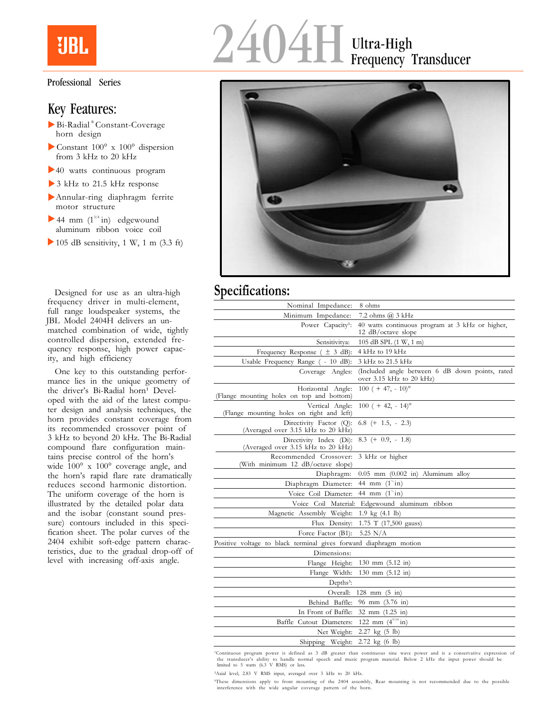

## Professional Series

## Key Features:

- Bi-Radial ® Constant-Coverage horn design
- Constant 100° x 100° dispersion from 3 kHz to 20 kHz
- 40 watts continuous program
- ▶ 3 kHz to 21.5 kHz response
- Annular-ring diaphragm ferrite motor structure
- $\blacktriangleright$  44 mm  $(1^{3/4} \text{ in})$  edgewound aluminum ribbon voice coil
- $\blacktriangleright$  105 dB sensitivity, 1 W, 1 m (3.3 ft)

Designed for use as an ultra-high frequency driver in multi-element, full range loudspeaker systems, the JBL Model 2404H delivers an unmatched combination of wide, tightly controlled dispersion, extended frequency response, high power capacity, and high efficiency

One key to this outstanding performance lies in the unique geometry of the driver's Bi-Radial horn<sup>1</sup> Developed with the aid of the latest computer design and analysis techniques, the horn provides constant coverage from its recommended crossover point of 3 kHz to beyond 20 kHz. The Bi-Radial compound flare configuration maintains precise control of the horn's wide 100° x 100° coverage angle, and the horn's rapid flare rate dramatically reduces second harmonic distortion. The uniform coverage of the horn is illustrated by the detailed polar data and the isobar (constant sound pressure) contours included in this specification sheet. The polar curves of the 2404 exhibit soft-edge pattern characteristics, due to the gradual drop-off of level with increasing off-axis angle.

# 2404H Ultra-High Frequency Transducer



## **Specifications:**

| Nominal Impedance:                                                | 8 ohms                                                                      |
|-------------------------------------------------------------------|-----------------------------------------------------------------------------|
| Minimum Impedance:                                                | 7.2 ohms @ 3 kHz                                                            |
| Power Capacity <sup>1</sup> :                                     | 40 watts continuous program at 3 kHz or higher,<br>12 $dB/cctave$ slope     |
| Sensitivitya:                                                     | 105 dB SPL (1 W, 1 m)                                                       |
| Frequency Response $(\pm 3$ dB):                                  | 4 kHz to 19 kHz                                                             |
| Usable Frequency Range ( - 10 dB):                                | 3 kHz to 21.5 kHz                                                           |
| Coverage Angles:                                                  | (Included angle between 6 dB down points, rated<br>over 3.15 kHz to 20 kHz) |
| Horizontal Angle:<br>(Flange mounting holes on top and bottom)    | $100 (+ 47, -10)$ °                                                         |
| Vertical Angle:<br>(Flange mounting holes on right and left)      | $100 (+ 42, -14)$ °                                                         |
| Directivity Factor (Q):<br>(Averaged over 3.15 kHz to 20 kHz)     | $6.8$ (+ 1.5, - 2.3)                                                        |
| Directivity Index (Di):<br>(Averaged over 3.15 kHz to 20 kHz)     | $8.3 (+ 0.9, - 1.8)$                                                        |
| Recommended Crossover:<br>(With minimum 12 dB/octave slope)       | 3 kHz or higher                                                             |
| Diaphragm:                                                        | $0.05$ mm $(0.002$ in) Aluminum alloy                                       |
| Diaphragm Diameter:                                               | 44 mm $(1^{n}$ in)                                                          |
| Voice Coil Diameter:                                              | 44 mm $(1^{n}$ in)                                                          |
| Voice Coil Material:                                              | Edgewound aluminum ribbon                                                   |
| Magnetic Assembly Weight:                                         | 1.9 kg (4.1 lb)                                                             |
| Flux Density:                                                     | 1.75 T (17,500 gauss)                                                       |
| Force Factor (B1):                                                | $5.25$ N/A                                                                  |
| Positive voltage to black terminal gives forward diaphragm motion |                                                                             |
| Dimensions:                                                       |                                                                             |
| Flange Height:                                                    | $130 \text{ mm}$ $(5.12 \text{ in})$                                        |
| Flange Width:                                                     | 130 mm (5.12 in)                                                            |
| $Depths^3$ :                                                      |                                                                             |
| Overall:                                                          | 128 mm $(5 \text{ in})$                                                     |
| Behind Baffle:                                                    | 96 mm (3.76 in)                                                             |
| In Front of Baffle:                                               | 32 mm (1.25 in)                                                             |
| Baffle Cutout Diameters:                                          | 122 mm $(4^{51/64} \text{in})$                                              |
| Net Weight:                                                       | $2.27 \text{ kg} (5 \text{ lb})$                                            |
| Shipping Weight:                                                  | $2.72 \text{ kg}$ (6 lb)                                                    |

'Continuous program power is defined as 3 dB greater than continuous sine wave power and is a conservative expression the transducer's ability to handle normal speech and music program material. Below 2 kHz the input power should be limited to 5 watts (6.3 V RMS) or less.

²Axial level, 2.83 V RMS input, averaged over 3 kHz to 20 kHz.

³These dimensions apply to front mounting of the 2404 assembly, Rear mounting is not recommended due to the possible interference with the wide angular coverage pattern of the horn.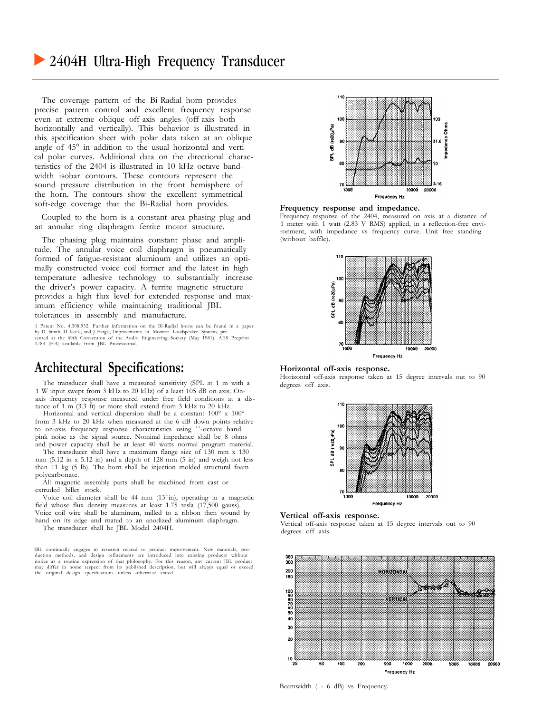## • 2404H Ultra-High Frequency Transducer

The coverage pattern of the Bi-Radial horn provides precise pattern control and excellent frequency response even at extreme oblique off-axis angles (off-axis both horizontally and vertically). This behavior is illustrated in this specification sheet with polar data taken at an oblique angle of 45° in addition to the usual horizontal and vertical polar curves. Additional data on the directional characteristics of the 2404 is illustrated in 10 kHz octave bandwidth isobar contours. These contours represent the sound pressure distribution in the front hemisphere of the horn. The contours show the excellent symmetrical soft-edge coverage that the Bi-Radial horn provides.

Coupled to the horn is a constant area phasing plug and an annular ring diaphragm ferrite motor structure.

The phasing plug maintains constant phase and amplitude. The annular voice coil diaphragm is pneumatically formed of fatigue-resistant aluminum and utilizes an optimally constructed voice coil former and the latest in high temperature adhesive technology to substantially increase the driver's power capacity. A ferrite magnetic structure provides a high flux level for extended response and maximum efficiency while maintaining traditional JBL tolerances in assembly and manufacture.

1 Patent No. 4,308,932. Further information on the Bi-Radial horns can be found in a paper by D. Smith, D Keele, and J Eargle, Improvements in Monitor Loudspeaker Systems, pre-sented at the 69th Convention of the Audio Engineering Society (May 1981). AES Preprint 1784 (F-4) available from JBL Professional.

## **Architectural Specifications:**

The transducer shall have a measured sensitivity (SPL at 1 m with a 1 W input swept from 3 kHz to 20 kHz) of a least 105 dB on axis. Onaxis frequency response measured under free field conditions at a distance of  $1 \text{ m}$  (3.3 ft) or more shall extend from 3 kHz to 20 kHz.

Horizontal and vertical dispersion shall be a constant 100° x 100° from 3 kHz to 20 kHz when measured at the 6 dB down points relative to on-axis frequency response characteristics using <sup>1/3</sup>-octave band pink noise as the signal source. Nominal impedance shall be 8 ohms and power capacity shall be at least 40 watts normal program material.

The transducer shall have a maximum flange size of 130 mm x 130 mm (5.12 in x 5.12 in) and a depth of 128 mm (5 in) and weigh not less than 11 kg (5 lb). The horn shall be injection molded structural foam polycarbonate.

All magnetic assembly parts shall be machined from cast or extruded billet stock.

Voice coil diameter shall be 44 mm (13<sup>\*</sup>in), operating in a magnetic field whose flux density measures at least 1.75 tesla (17,500 gauss). Voice coil wire shall be aluminum, milled to a ribbon then wound by hand on its edge and mated to an anodized aluminum diaphragm. The transducer shall be JBL Model 2404H.

JBL continually engages in research related to product improvement. New materials, production methods, and design refinements are introduced into existing products without notice as a routine expression of that philosophy. For this reason, any current JBL product may differ in home respect from its published description, but will always equal or exceed the original design specifications unless otherwise stated.



**Frequency response and impedance.**

Frequency response of the 2404, measured on axis at a distance of 1 meter with 1 watt (2.83 V RMS) applied, in a reflection-free environment, with impedance vs frequency curve. Unit free standing (without baffle).



## **Horizontal off-axis response.**

Horizontal off-axis response taken at 15 degree intervals out to 90 degrees off axis.



### **Vertical off-axis response.**

Vertical off-axis response taken at 15 degree intervals out to 90 degrees off axis.



Beamwidth ( - 6 dB) vs Frequency.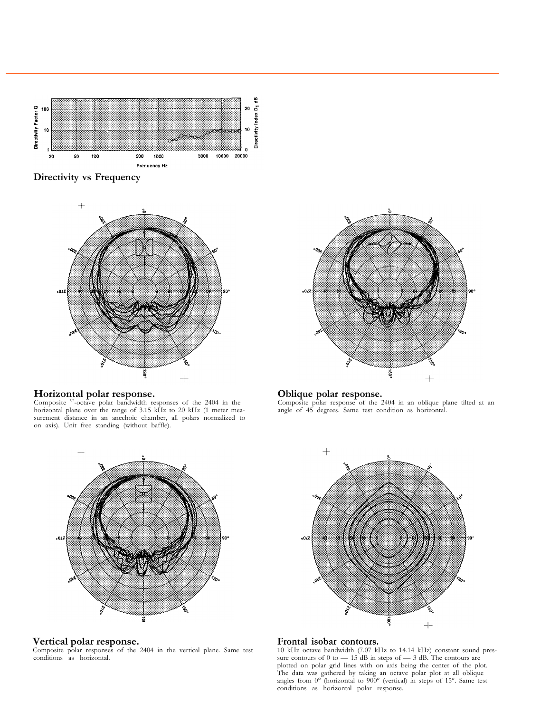

**Directivity vs Frequency**



# $02$ ś ě  $+$

**Horizontal polar response.**<br>
Composite <sup>10</sup>-octave polar bandwidth responses of the 2404 in the Composite polar response of the 2 horizontal plane over the range of 3.15 kHz to 20 kHz (1 meter measurement distance in an anechoic chamber, all polars normalized to on axis). Unit free standing (without baffle).



**Vertical polar response.** Composite polar responses of the 2404 in the vertical plane. Same test conditions as horizontal.

**Oblique polar response.**<br>Composite polar response of the 2404 in an oblique plane tilted at an angle of 45 degrees. Same test condition as horizontal.



**Frontal isobar contours.** 10 kHz octave bandwidth (7.07 kHz to 14.14 kHz) constant sound pressure contours of 0 to  $-$  15 dB in steps of  $-$  3 dB. The contours are plotted on polar grid lines with on axis being the center of the plot. The data was gathered by taking an octave polar plot at all oblique angles from  $0^{\circ}$  (horizontal to  $900^{\circ}$  (vertical) in steps of 15°. Same test conditions as horizontal polar response.